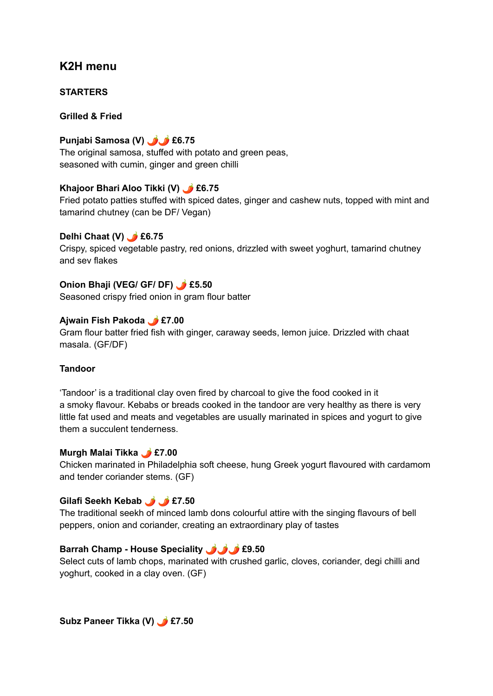## **K2H menu**

**STARTERS**

#### **Grilled & Fried**

## **Punjabi Samosa (V) £6.75**

The original samosa, stuffed with potato and green peas, seasoned with cumin, ginger and green chilli

#### **Khajoor Bhari Aloo Tikki (V) £6.75**

Fried potato patties stuffed with spiced dates, ginger and cashew nuts, topped with mint and tamarind chutney (can be DF/ Vegan)

#### **Delhi Chaat (V) £6.75**

Crispy, spiced vegetable pastry, red onions, drizzled with sweet yoghurt, tamarind chutney and sev flakes

#### **Onion Bhaji (VEG/ GF/ DF) £5.50**

Seasoned crispy fried onion in gram flour batter

#### **Ajwain Fish Pakoda £7.00**

Gram flour batter fried fish with ginger, caraway seeds, lemon juice. Drizzled with chaat masala. (GF/DF)

#### **Tandoor**

'Tandoor' is a traditional clay oven fired by charcoal to give the food cooked in it a smoky flavour. Kebabs or breads cooked in the tandoor are very healthy as there is very little fat used and meats and vegetables are usually marinated in spices and yogurt to give them a succulent tenderness.

#### **Murgh Malai Tikka £7.00**

Chicken marinated in Philadelphia soft cheese, hung Greek yogurt flavoured with cardamom and tender coriander stems. (GF)

## **Gilafi Seekh Kebab £7.50**

The traditional seekh of minced lamb dons colourful attire with the singing flavours of bell peppers, onion and coriander, creating an extraordinary play of tastes

#### **Barrah Champ - House Speciality £9.50**

Select cuts of lamb chops, marinated with crushed garlic, cloves, coriander, degi chilli and yoghurt, cooked in a clay oven. (GF)

**Subz Paneer Tikka (V) £7.50**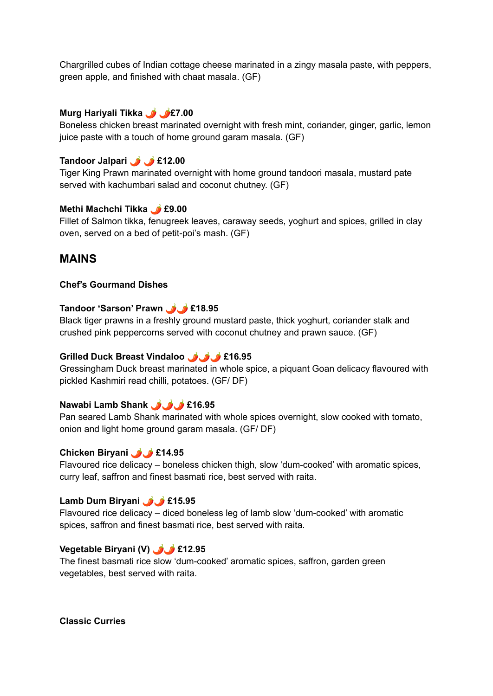Chargrilled cubes of Indian cottage cheese marinated in a zingy masala paste, with peppers, green apple, and finished with chaat masala. (GF)

#### **Murg Hariyali Tikka £7.00**

Boneless chicken breast marinated overnight with fresh mint, coriander, ginger, garlic, lemon juice paste with a touch of home ground garam masala. (GF)

#### **Tandoor Jalpari £12.00**

Tiger King Prawn marinated overnight with home ground tandoori masala, mustard pate served with kachumbari salad and coconut chutney. (GF)

#### **Methi Machchi Tikka £9.00**

Fillet of Salmon tikka, fenugreek leaves, caraway seeds, yoghurt and spices, grilled in clay oven, served on a bed of petit-poi's mash. (GF)

#### **MAINS**

#### **Chef's Gourmand Dishes**

#### **Tandoor 'Sarson' Prawn £18.95**

Black tiger prawns in a freshly ground mustard paste, thick yoghurt, coriander stalk and crushed pink peppercorns served with coconut chutney and prawn sauce. (GF)

#### **Grilled Duck Breast Vindaloo £16.95**

Gressingham Duck breast marinated in whole spice, a piquant Goan delicacy flavoured with pickled Kashmiri read chilli, potatoes. (GF/ DF)

#### **Nawabi Lamb Shank £16.95**

Pan seared Lamb Shank marinated with whole spices overnight, slow cooked with tomato, onion and light home ground garam masala. (GF/ DF)

#### **Chicken Biryani £14.95**

Flavoured rice delicacy – boneless chicken thigh, slow 'dum-cooked' with aromatic spices, curry leaf, saffron and finest basmati rice, best served with raita.

#### **Lamb Dum Biryani £15.95**

Flavoured rice delicacy – diced boneless leg of lamb slow 'dum-cooked' with aromatic spices, saffron and finest basmati rice, best served with raita.

#### **Vegetable Biryani (V) £12.95**

The finest basmati rice slow 'dum-cooked' aromatic spices, saffron, garden green vegetables, best served with raita.

**Classic Curries**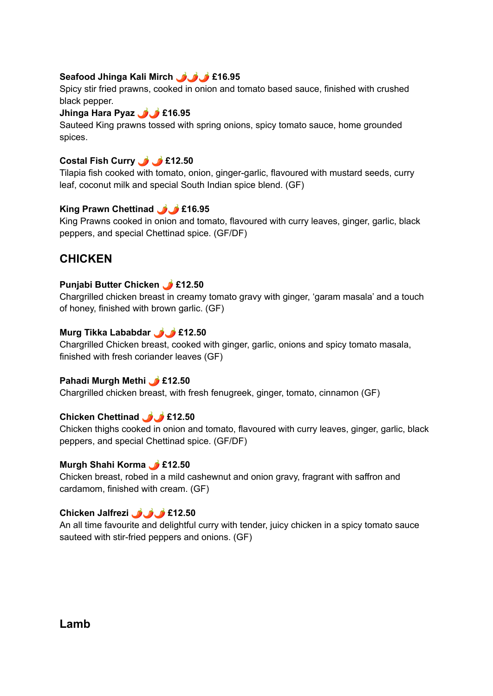## **Seafood Jhinga Kali Mirch £16.95**

Spicy stir fried prawns, cooked in onion and tomato based sauce, finished with crushed black pepper.

#### **Jhinga Hara Pyaz £16.95**

Sauteed King prawns tossed with spring onions, spicy tomato sauce, home grounded spices.

## **Costal Fish Curry £12.50**

Tilapia fish cooked with tomato, onion, ginger-garlic, flavoured with mustard seeds, curry leaf, coconut milk and special South Indian spice blend. (GF)

## **King Prawn Chettinad £16.95**

King Prawns cooked in onion and tomato, flavoured with curry leaves, ginger, garlic, black peppers, and special Chettinad spice. (GF/DF)

# **CHICKEN**

## **Punjabi Butter Chicken £12.50**

Chargrilled chicken breast in creamy tomato gravy with ginger, 'garam masala' and a touch of honey, finished with brown garlic. (GF)

## **Murg Tikka Lababdar £12.50**

Chargrilled Chicken breast, cooked with ginger, garlic, onions and spicy tomato masala, finished with fresh coriander leaves (GF)

## **Pahadi Murgh Methi £12.50**

Chargrilled chicken breast, with fresh fenugreek, ginger, tomato, cinnamon (GF)

## **Chicken Chettinad £12.50**

Chicken thighs cooked in onion and tomato, flavoured with curry leaves, ginger, garlic, black peppers, and special Chettinad spice. (GF/DF)

## **Murgh Shahi Korma £12.50**

Chicken breast, robed in a mild cashewnut and onion gravy, fragrant with saffron and cardamom, finished with cream. (GF)

## **Chicken Jalfrezi £12.50**

An all time favourite and delightful curry with tender, juicy chicken in a spicy tomato sauce sauteed with stir-fried peppers and onions. (GF)

## **Lamb**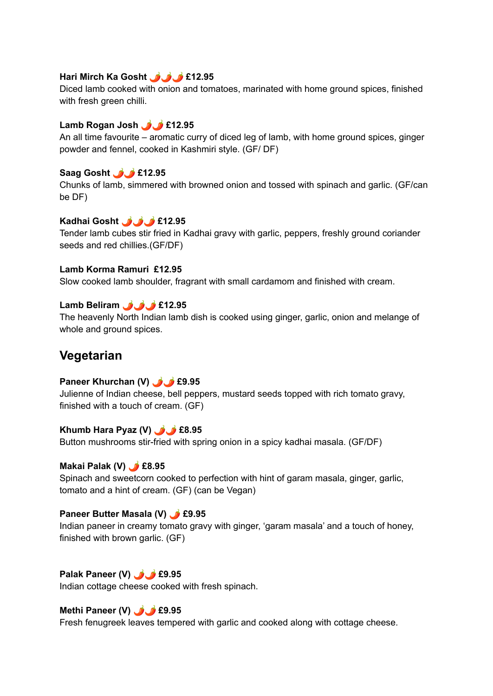#### **Hari Mirch Ka Gosht £12.95**

Diced lamb cooked with onion and tomatoes, marinated with home ground spices, finished with fresh green chilli.

#### **Lamb Rogan Josh £12.95**

An all time favourite – aromatic curry of diced leg of lamb, with home ground spices, ginger powder and fennel, cooked in Kashmiri style. (GF/ DF)

## **Saag Gosht £12.95**

Chunks of lamb, simmered with browned onion and tossed with spinach and garlic. (GF/can be DF)

## **Kadhai Gosht £12.95**

Tender lamb cubes stir fried in Kadhai gravy with garlic, peppers, freshly ground coriander seeds and red chillies.(GF/DF)

#### **Lamb Korma Ramuri £12.95**

Slow cooked lamb shoulder, fragrant with small cardamom and finished with cream.

## **Lamb Beliram £12.95**

The heavenly North Indian lamb dish is cooked using ginger, garlic, onion and melange of whole and ground spices.

# **Vegetarian**

## **Paneer Khurchan (V) £9.95**

Julienne of Indian cheese, bell peppers, mustard seeds topped with rich tomato gravy, finished with a touch of cream. (GF)

## **Khumb Hara Pyaz (V) £8.95**

Button mushrooms stir-fried with spring onion in a spicy kadhai masala. (GF/DF)

#### **Makai Palak (V) £8.95**

Spinach and sweetcorn cooked to perfection with hint of garam masala, ginger, garlic, tomato and a hint of cream. (GF) (can be Vegan)

#### **Paneer Butter Masala (V) £9.95**

Indian paneer in creamy tomato gravy with ginger, 'garam masala' and a touch of honey, finished with brown garlic. (GF)

## **Palak Paneer (V) £9.95**

Indian cottage cheese cooked with fresh spinach.

## **Methi Paneer (V) £9.95**

Fresh fenugreek leaves tempered with garlic and cooked along with cottage cheese.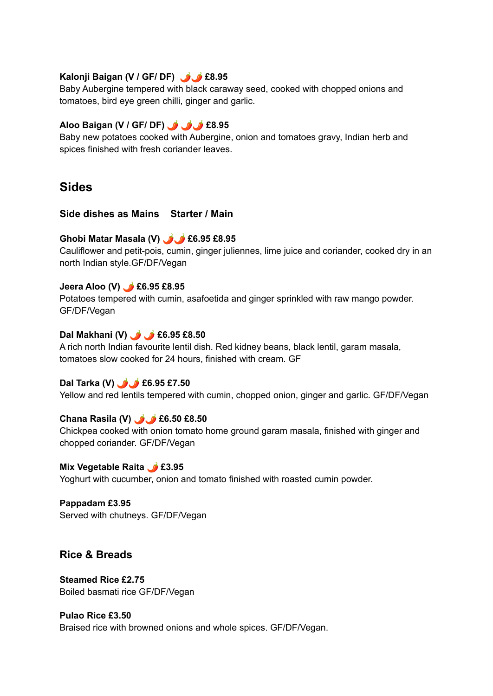## **Kalonji Baigan (V / GF/ DF) £8.95**

Baby Aubergine tempered with black caraway seed, cooked with chopped onions and tomatoes, bird eye green chilli, ginger and garlic.

## **Aloo Baigan (V / GF/ DF) £8.95**

Baby new potatoes cooked with Aubergine, onion and tomatoes gravy, Indian herb and spices finished with fresh coriander leaves.

# **Sides**

## **Side dishes as Mains Starter / Main**

#### **Ghobi Matar Masala (V) £6.95 £8.95**

Cauliflower and petit-pois, cumin, ginger juliennes, lime juice and coriander, cooked dry in an north Indian style.GF/DF/Vegan

#### **Jeera Aloo (V) £6.95 £8.95**

Potatoes tempered with cumin, asafoetida and ginger sprinkled with raw mango powder. GF/DF/Vegan

## **Dal Makhani (V) £6.95 £8.50**

A rich north Indian favourite lentil dish. Red kidney beans, black lentil, garam masala, tomatoes slow cooked for 24 hours, finished with cream. GF

## **Dal Tarka (V) £6.95 £7.50**

Yellow and red lentils tempered with cumin, chopped onion, ginger and garlic. GF/DF/Vegan

#### **Chana Rasila (V) £6.50 £8.50**

Chickpea cooked with onion tomato home ground garam masala, finished with ginger and chopped coriander. GF/DF/Vegan

# **Mix Vegetable Raita £3.95**

Yoghurt with cucumber, onion and tomato finished with roasted cumin powder.

**Pappadam £3.95** Served with chutneys. GF/DF/Vegan

## **Rice & Breads**

**Steamed Rice £2.75** Boiled basmati rice GF/DF/Vegan

**Pulao Rice £3.50** Braised rice with browned onions and whole spices. GF/DF/Vegan.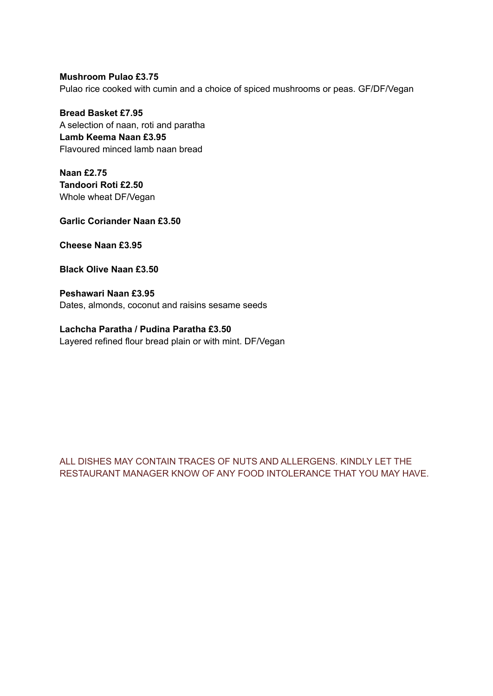**Mushroom Pulao £3.75** Pulao rice cooked with cumin and a choice of spiced mushrooms or peas. GF/DF/Vegan

**Bread Basket £7.95** A selection of naan, roti and paratha **Lamb Keema Naan £3.95** Flavoured minced lamb naan bread

**Naan £2.75 Tandoori Roti £2.50** Whole wheat DF/Vegan

**Garlic Coriander Naan £3.50**

**Cheese Naan £3.95**

**Black Olive Naan £3.50**

**Peshawari Naan £3.95** Dates, almonds, coconut and raisins sesame seeds

**Lachcha Paratha / Pudina Paratha £3.50** Layered refined flour bread plain or with mint. DF/Vegan

ALL DISHES MAY CONTAIN TRACES OF NUTS AND ALLERGENS. KINDLY LET THE RESTAURANT MANAGER KNOW OF ANY FOOD INTOLERANCE THAT YOU MAY HAVE.